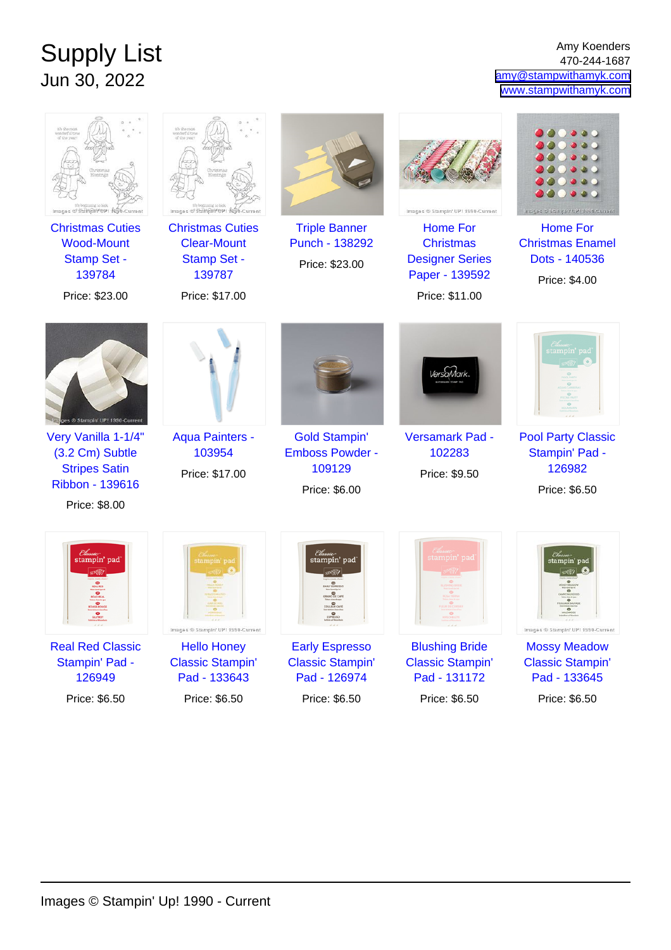## Supply List Jun 30, 2022

Amy Koenders 470-244-1687 [amy@stampwithamyk.com](mailto:amy@stampwithamyk.com) [www.stampwithamyk.com](http://www.stampwithamyk.com)